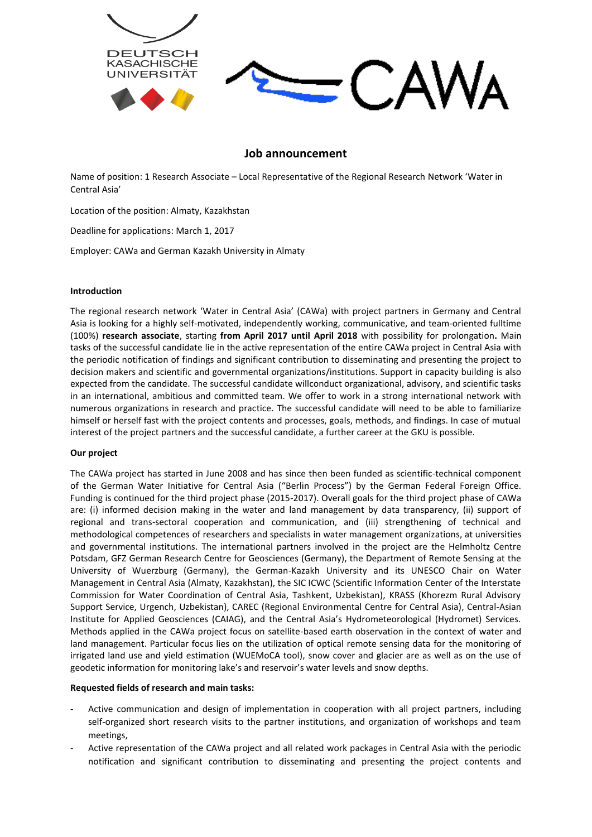

# **Job announcement**

Name of position: 1 Research Associate – Local Representative of the Regional Research Network 'Water in Central Asia'

Location of the position: Almaty, Kazakhstan

Deadline for applications: March 1, 2017

Employer: CAWa and German Kazakh University in Almaty

### **Introduction**

The regional research network 'Water in Central Asia' (CAWa) with project partners in Germany and Central Asia is looking for a highly self-motivated, independently working, communicative, and team-oriented fulltime (100%) **research associate**, starting **from April 2017 until April 2018** with possibility for prolongation**.** Main tasks of the successful candidate lie in the active representation of the entire CAWa project in Central Asia with the periodic notification of findings and significant contribution to disseminating and presenting the project to decision makers and scientific and governmental organizations/institutions. Support in capacity building is also expected from the candidate. The successful candidate willconduct organizational, advisory, and scientific tasks in an international, ambitious and committed team. We offer to work in a strong international network with numerous organizations in research and practice. The successful candidate will need to be able to familiarize himself or herself fast with the project contents and processes, goals, methods, and findings. In case of mutual interest of the project partners and the successful candidate, a further career at the GKU is possible.

## **Our project**

The CAWa project has started in June 2008 and has since then been funded as scientific-technical component of the German Water Initiative for Central Asia ("Berlin Process") by the German Federal Foreign Office. Funding is continued for the third project phase (2015-2017). Overall goals for the third project phase of CAWa are: (i) informed decision making in the water and land management by data transparency, (ii) support of regional and trans-sectoral cooperation and communication, and (iii) strengthening of technical and methodological competences of researchers and specialists in water management organizations, at universities and governmental institutions. The international partners involved in the project are the Helmholtz Centre Potsdam, GFZ German Research Centre for Geosciences (Germany), the Department of Remote Sensing at the University of Wuerzburg (Germany), the German-Kazakh University and its UNESCO Chair on Water Management in Central Asia (Almaty, Kazakhstan), the SIC ICWC (Scientific Information Center of the Interstate Commission for Water Coordination of Central Asia, Tashkent, Uzbekistan), KRASS (Khorezm Rural Advisory Support Service, Urgench, Uzbekistan), CAREC (Regional Environmental Centre for Central Asia), Central-Asian Institute for Applied Geosciences (CAIAG), and the Central Asia's Hydrometeorological (Hydromet) Services. Methods applied in the CAWa project focus on satellite-based earth observation in the context of water and land management. Particular focus lies on the utilization of optical remote sensing data for the monitoring of irrigated land use and yield estimation (WUEMoCA tool), snow cover and glacier are as well as on the use of geodetic information for monitoring lake's and reservoir's water levels and snow depths.

## **Requested fields of research and main tasks:**

- Active communication and design of implementation in cooperation with all project partners, including self-organized short research visits to the partner institutions, and organization of workshops and team meetings,
- Active representation of the CAWa project and all related work packages in Central Asia with the periodic notification and significant contribution to disseminating and presenting the project contents and